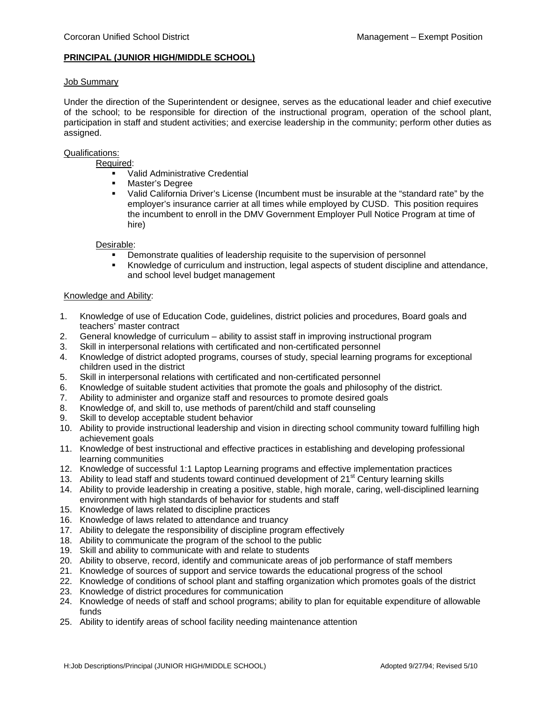### **PRINCIPAL (JUNIOR HIGH/MIDDLE SCHOOL)**

### Job Summary

Under the direction of the Superintendent or designee, serves as the educational leader and chief executive of the school; to be responsible for direction of the instructional program, operation of the school plant, participation in staff and student activities; and exercise leadership in the community; perform other duties as assigned.

# Qualifications:

Required:

- Valid Administrative Credential<br>Master's Degree
- **Master's Degree**<br>• Valid California D
- Valid California Driver's License (Incumbent must be insurable at the "standard rate" by the employer's insurance carrier at all times while employed by CUSD. This position requires the incumbent to enroll in the DMV Government Employer Pull Notice Program at time of hire)

### Desirable:

- Demonstrate qualities of leadership requisite to the supervision of personnel
- Knowledge of curriculum and instruction, legal aspects of student discipline and attendance, and school level budget management

### Knowledge and Ability:

- 1. Knowledge of use of Education Code, guidelines, district policies and procedures, Board goals and teachers' master contract
- 2. General knowledge of curriculum ability to assist staff in improving instructional program
- 3. Skill in interpersonal relations with certificated and non-certificated personnel
- 4. Knowledge of district adopted programs, courses of study, special learning programs for exceptional children used in the district
- 5. Skill in interpersonal relations with certificated and non-certificated personnel
- 6. Knowledge of suitable student activities that promote the goals and philosophy of the district.
- 7. Ability to administer and organize staff and resources to promote desired goals
- 8. Knowledge of, and skill to, use methods of parent/child and staff counseling
- 9. Skill to develop acceptable student behavior
- 10. Ability to provide instructional leadership and vision in directing school community toward fulfilling high achievement goals
- 11. Knowledge of best instructional and effective practices in establishing and developing professional learning communities
- 12. Knowledge of successful 1:1 Laptop Learning programs and effective implementation practices
- 13. Ability to lead staff and students toward continued development of 21<sup>st</sup> Century learning skills
- 14. Ability to provide leadership in creating a positive, stable, high morale, caring, well-disciplined learning environment with high standards of behavior for students and staff
- 15. Knowledge of laws related to discipline practices
- 16. Knowledge of laws related to attendance and truancy
- 17. Ability to delegate the responsibility of discipline program effectively
- 18. Ability to communicate the program of the school to the public
- 19. Skill and ability to communicate with and relate to students
- 20. Ability to observe, record, identify and communicate areas of job performance of staff members
- 21. Knowledge of sources of support and service towards the educational progress of the school
- 22. Knowledge of conditions of school plant and staffing organization which promotes goals of the district
- 23. Knowledge of district procedures for communication
- 24. Knowledge of needs of staff and school programs; ability to plan for equitable expenditure of allowable funds
- 25. Ability to identify areas of school facility needing maintenance attention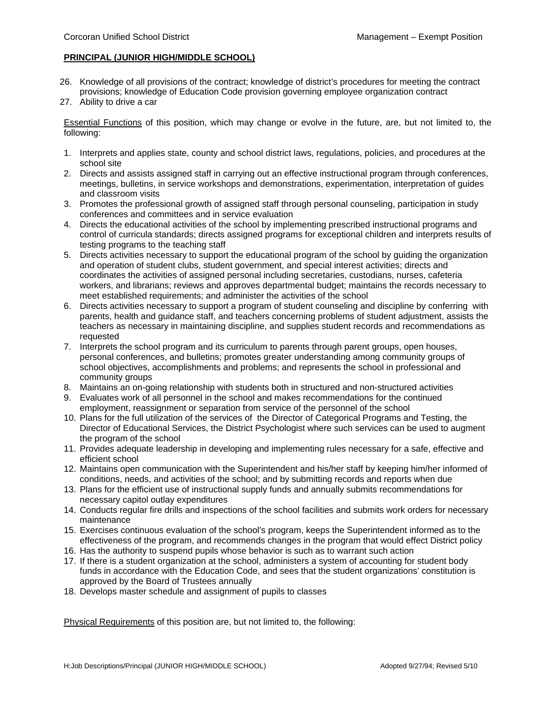# **PRINCIPAL (JUNIOR HIGH/MIDDLE SCHOOL)**

- 26. Knowledge of all provisions of the contract; knowledge of district's procedures for meeting the contract provisions; knowledge of Education Code provision governing employee organization contract
- 27. Ability to drive a car

Essential Functions of this position, which may change or evolve in the future, are, but not limited to, the following:

- 1. Interprets and applies state, county and school district laws, regulations, policies, and procedures at the school site
- 2. Directs and assists assigned staff in carrying out an effective instructional program through conferences, meetings, bulletins, in service workshops and demonstrations, experimentation, interpretation of guides and classroom visits
- 3. Promotes the professional growth of assigned staff through personal counseling, participation in study conferences and committees and in service evaluation
- 4. Directs the educational activities of the school by implementing prescribed instructional programs and control of curricula standards; directs assigned programs for exceptional children and interprets results of testing programs to the teaching staff
- 5. Directs activities necessary to support the educational program of the school by guiding the organization and operation of student clubs, student government, and special interest activities; directs and coordinates the activities of assigned personal including secretaries, custodians, nurses, cafeteria workers, and librarians; reviews and approves departmental budget; maintains the records necessary to meet established requirements; and administer the activities of the school
- 6. Directs activities necessary to support a program of student counseling and discipline by conferring with parents, health and guidance staff, and teachers concerning problems of student adjustment, assists the teachers as necessary in maintaining discipline, and supplies student records and recommendations as requested
- 7. Interprets the school program and its curriculum to parents through parent groups, open houses, personal conferences, and bulletins; promotes greater understanding among community groups of school objectives, accomplishments and problems; and represents the school in professional and community groups
- 8. Maintains an on-going relationship with students both in structured and non-structured activities
- 9. Evaluates work of all personnel in the school and makes recommendations for the continued employment, reassignment or separation from service of the personnel of the school
- 10. Plans for the full utilization of the services of the Director of Categorical Programs and Testing, the Director of Educational Services, the District Psychologist where such services can be used to augment the program of the school
- 11. Provides adequate leadership in developing and implementing rules necessary for a safe, effective and efficient school
- 12. Maintains open communication with the Superintendent and his/her staff by keeping him/her informed of conditions, needs, and activities of the school; and by submitting records and reports when due
- 13. Plans for the efficient use of instructional supply funds and annually submits recommendations for necessary capitol outlay expenditures
- 14. Conducts regular fire drills and inspections of the school facilities and submits work orders for necessary maintenance
- 15. Exercises continuous evaluation of the school's program, keeps the Superintendent informed as to the effectiveness of the program, and recommends changes in the program that would effect District policy
- 16. Has the authority to suspend pupils whose behavior is such as to warrant such action
- 17. If there is a student organization at the school, administers a system of accounting for student body funds in accordance with the Education Code, and sees that the student organizations' constitution is approved by the Board of Trustees annually
- 18. Develops master schedule and assignment of pupils to classes

Physical Requirements of this position are, but not limited to, the following: